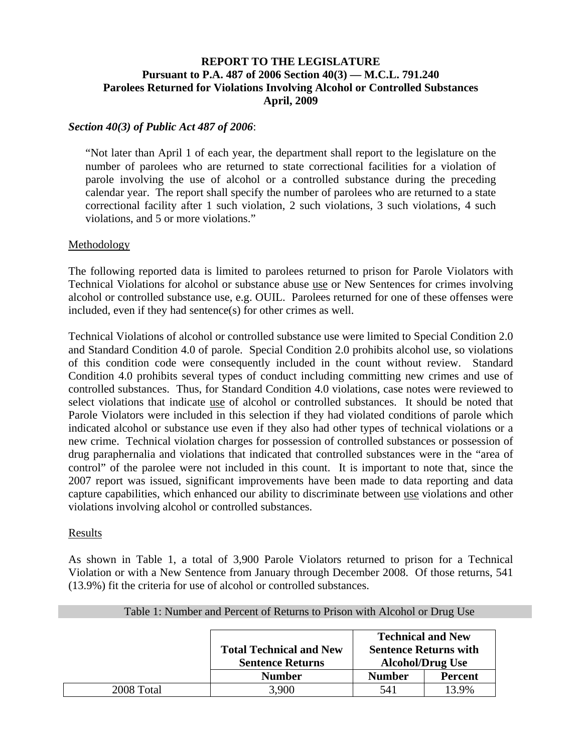# **REPORT TO THE LEGISLATURE Pursuant to P.A. 487 of 2006 Section 40(3) — M.C.L. 791.240 Parolees Returned for Violations Involving Alcohol or Controlled Substances April, 2009**

### *Section 40(3) of Public Act 487 of 2006*:

"Not later than April 1 of each year, the department shall report to the legislature on the number of parolees who are returned to state correctional facilities for a violation of parole involving the use of alcohol or a controlled substance during the preceding calendar year. The report shall specify the number of parolees who are returned to a state correctional facility after 1 such violation, 2 such violations, 3 such violations, 4 such violations, and 5 or more violations."

#### Methodology

The following reported data is limited to parolees returned to prison for Parole Violators with Technical Violations for alcohol or substance abuse use or New Sentences for crimes involving alcohol or controlled substance use, e.g. OUIL. Parolees returned for one of these offenses were included, even if they had sentence(s) for other crimes as well.

Technical Violations of alcohol or controlled substance use were limited to Special Condition 2.0 and Standard Condition 4.0 of parole. Special Condition 2.0 prohibits alcohol use, so violations of this condition code were consequently included in the count without review. Standard Condition 4.0 prohibits several types of conduct including committing new crimes and use of controlled substances. Thus, for Standard Condition 4.0 violations, case notes were reviewed to select violations that indicate use of alcohol or controlled substances. It should be noted that Parole Violators were included in this selection if they had violated conditions of parole which indicated alcohol or substance use even if they also had other types of technical violations or a new crime. Technical violation charges for possession of controlled substances or possession of drug paraphernalia and violations that indicated that controlled substances were in the "area of control" of the parolee were not included in this count. It is important to note that, since the 2007 report was issued, significant improvements have been made to data reporting and data capture capabilities, which enhanced our ability to discriminate between use violations and other violations involving alcohol or controlled substances.

#### Results

As shown in Table 1, a total of 3,900 Parole Violators returned to prison for a Technical Violation or with a New Sentence from January through December 2008. Of those returns, 541 (13.9%) fit the criteria for use of alcohol or controlled substances.

|            |                                                           | <b>Technical and New</b>                                |                |  |  |  |
|------------|-----------------------------------------------------------|---------------------------------------------------------|----------------|--|--|--|
|            | <b>Total Technical and New</b><br><b>Sentence Returns</b> | <b>Sentence Returns with</b><br><b>Alcohol/Drug Use</b> |                |  |  |  |
|            | <b>Number</b>                                             | <b>Number</b>                                           | <b>Percent</b> |  |  |  |
| 2008 Total | 3.900                                                     | 541                                                     | 13.9%          |  |  |  |

## Table 1: Number and Percent of Returns to Prison with Alcohol or Drug Use